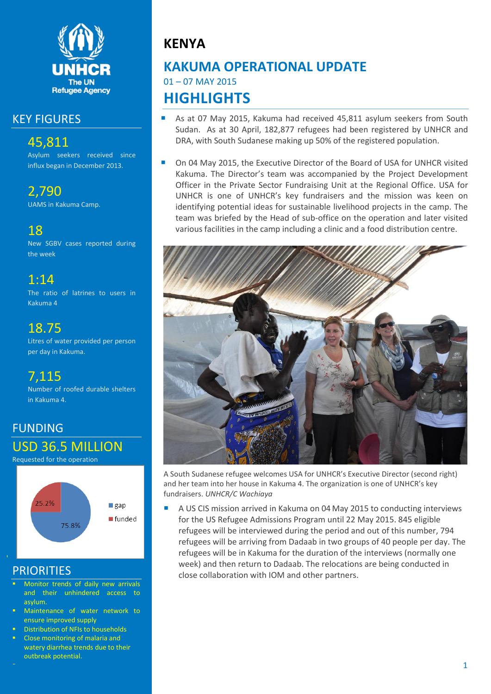

### KEY FIGURES

## 45,811

Asylum seekers received since influx began in December 2013.

2,790

UAMS in Kakuma Camp.

18

New SGBV cases reported during the week

## 1:14

The ratio of latrines to users in Kakuma 4

## 18.75

Litres of water provided per person per day in Kakuma.

## 7,115

Number of roofed durable shelters in Kakuma 4.

# FUNDING USD 36.5 MILLION

Requested for the operation



## **PRIORITIES**

- Monitor trends of daily new arrivals and their unhindered access to asylum.
- Maintenance of water network to ensure improved supply
- Distribution of NFIs to households
- Close monitoring of malaria and watery diarrhea trends due to their outbreak potential.

# **KENYA**

## **KAKUMA OPERATIONAL UPDATE** 01 – 07 MAY 2015 **HIGHLIGHTS**

- As at 07 May 2015, Kakuma had received 45,811 asylum seekers from South Sudan. As at 30 April, 182,877 refugees had been registered by UNHCR and DRA, with South Sudanese making up 50% of the registered population.
- On 04 May 2015, the Executive Director of the Board of USA for UNHCR visited Kakuma. The Director's team was accompanied by the Project Development Officer in the Private Sector Fundraising Unit at the Regional Office. USA for UNHCR is one of UNHCR's key fundraisers and the mission was keen on identifying potential ideas for sustainable livelihood projects in the camp. The team was briefed by the Head of sub-office on the operation and later visited various facilities in the camp including a clinic and a food distribution centre.



A South Sudanese refugee welcomes USA for UNHCR's Executive Director (second right) and her team into her house in Kakuma 4. The organization is one of UNHCR's key fundraisers. *UNHCR/C Wachiaya*

 A US CIS mission arrived in Kakuma on 04 May 2015 to conducting interviews for the US Refugee Admissions Program until 22 May 2015. 845 eligible refugees will be interviewed during the period and out of this number, 794 refugees will be arriving from Dadaab in two groups of 40 people per day. The refugees will be in Kakuma for the duration of the interviews (normally one week) and then return to Dadaab. The relocations are being conducted in close collaboration with IOM and other partners.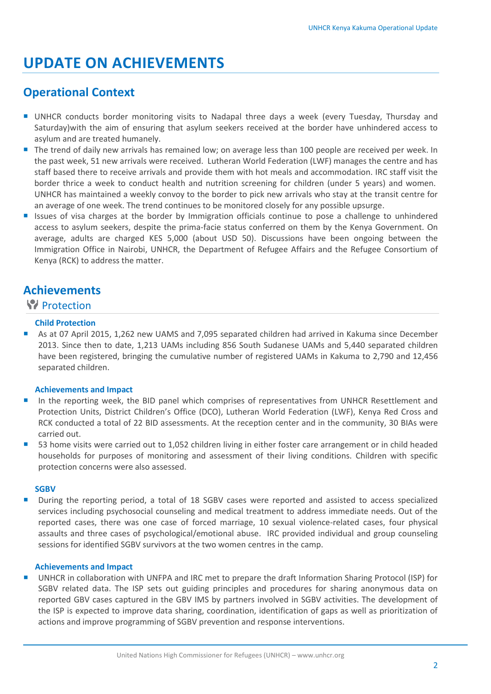# **UPDATE ON ACHIEVEMENTS**

## **Operational Context**

- UNHCR conducts border monitoring visits to Nadapal three days a week (every Tuesday, Thursday and Saturday)with the aim of ensuring that asylum seekers received at the border have unhindered access to asylum and are treated humanely.
- The trend of daily new arrivals has remained low; on average less than 100 people are received per week. In the past week, 51 new arrivals were received. Lutheran World Federation (LWF) manages the centre and has staff based there to receive arrivals and provide them with hot meals and accommodation. IRC staff visit the border thrice a week to conduct health and nutrition screening for children (under 5 years) and women. UNHCR has maintained a weekly convoy to the border to pick new arrivals who stay at the transit centre for an average of one week. The trend continues to be monitored closely for any possible upsurge.
- Issues of visa charges at the border by Immigration officials continue to pose a challenge to unhindered access to asylum seekers, despite the prima-facie status conferred on them by the Kenya Government. On average, adults are charged KES 5,000 (about USD 50). Discussions have been ongoing between the Immigration Office in Nairobi, UNHCR, the Department of Refugee Affairs and the Refugee Consortium of Kenya (RCK) to address the matter.

## **Achievements**

#### **Protection**

#### **Child Protection**

 As at 07 April 2015, 1,262 new UAMS and 7,095 separated children had arrived in Kakuma since December 2013. Since then to date, 1,213 UAMs including 856 South Sudanese UAMs and 5,440 separated children have been registered, bringing the cumulative number of registered UAMs in Kakuma to 2,790 and 12,456 separated children.

#### **Achievements and Impact**

- In the reporting week, the BID panel which comprises of representatives from UNHCR Resettlement and Protection Units, District Children's Office (DCO), Lutheran World Federation (LWF), Kenya Red Cross and RCK conducted a total of 22 BID assessments. At the reception center and in the community, 30 BIAs were carried out.
- 53 home visits were carried out to 1,052 children living in either foster care arrangement or in child headed households for purposes of monitoring and assessment of their living conditions. Children with specific protection concerns were also assessed.

#### **SGBV**

 During the reporting period, a total of 18 SGBV cases were reported and assisted to access specialized services including psychosocial counseling and medical treatment to address immediate needs. Out of the reported cases, there was one case of forced marriage, 10 sexual violence-related cases, four physical assaults and three cases of psychological/emotional abuse. IRC provided individual and group counseling sessions for identified SGBV survivors at the two women centres in the camp.

#### **Achievements and Impact**

 UNHCR in collaboration with UNFPA and IRC met to prepare the draft Information Sharing Protocol (ISP) for SGBV related data. The ISP sets out guiding principles and procedures for sharing anonymous data on reported GBV cases captured in the GBV IMS by partners involved in SGBV activities. The development of the ISP is expected to improve data sharing, coordination, identification of gaps as well as prioritization of actions and improve programming of SGBV prevention and response interventions.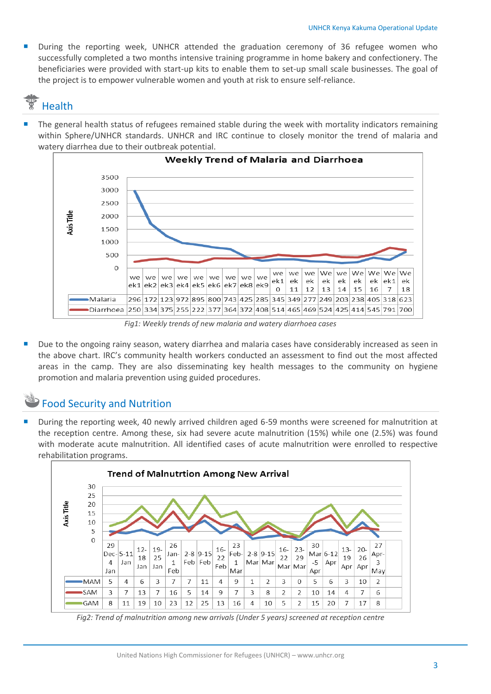During the reporting week, UNHCR attended the graduation ceremony of 36 refugee women who successfully completed a two months intensive training programme in home bakery and confectionery. The beneficiaries were provided with start-up kits to enable them to set-up small scale businesses. The goal of the project is to empower vulnerable women and youth at risk to ensure self-reliance.

# Health

 The general health status of refugees remained stable during the week with mortality indicators remaining within Sphere/UNHCR standards. UNHCR and IRC continue to closely monitor the trend of malaria and watery diarrhea due to their outbreak potential.



*Fig1: Weekly trends of new malaria and watery diarrhoea cases*

 Due to the ongoing rainy season, watery diarrhea and malaria cases have considerably increased as seen in the above chart. IRC's community health workers conducted an assessment to find out the most affected areas in the camp. They are also disseminating key health messages to the community on hygiene promotion and malaria prevention using guided procedures.

## Food Security and Nutrition

 During the reporting week, 40 newly arrived children aged 6-59 months were screened for malnutrition at the reception centre. Among these, six had severe acute malnutrition (15%) while one (2.5%) was found with moderate acute malnutrition. All identified cases of acute malnutrition were enrolled to respective rehabilitation programs.



Fig2: Trend of malnutrition among new arrivals (Under 5 years) screened at reception centre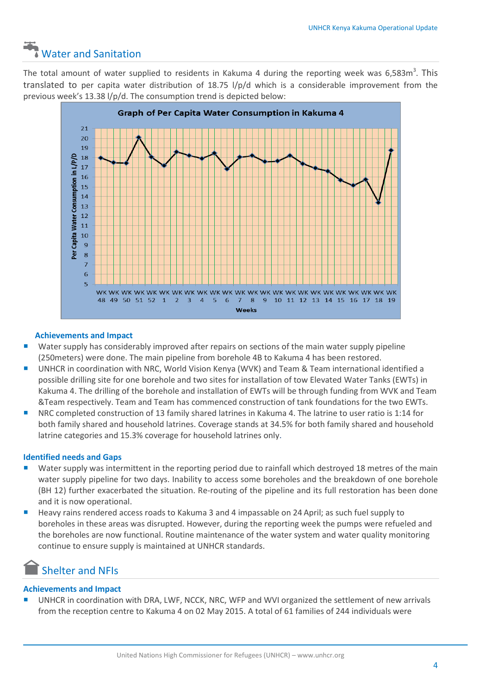# Water and Sanitation

The total amount of water supplied to residents in Kakuma 4 during the reporting week was 6,583m<sup>3</sup>. This translated to per capita water distribution of 18.75 l/p/d which is a considerable improvement from the previous week's 13.38 l/p/d. The consumption trend is depicted below:



#### **Achievements and Impact**

- Water supply has considerably improved after repairs on sections of the main water supply pipeline (250meters) were done. The main pipeline from borehole 4B to Kakuma 4 has been restored.
- UNHCR in coordination with NRC, World Vision Kenya (WVK) and Team & Team international identified a possible drilling site for one borehole and two sites for installation of tow Elevated Water Tanks (EWTs) in Kakuma 4. The drilling of the borehole and installation of EWTs will be through funding from WVK and Team &Team respectively. Team and Team has commenced construction of tank foundations for the two EWTs.
- NRC completed construction of 13 family shared latrines in Kakuma 4. The latrine to user ratio is 1:14 for both family shared and household latrines. Coverage stands at 34.5% for both family shared and household latrine categories and 15.3% coverage for household latrines only.

#### **Identified needs and Gaps**

- **URIDER 18 Water supply was intermittent in the reporting period due to rainfall which destroyed 18 metres of the main** water supply pipeline for two days. Inability to access some boreholes and the breakdown of one borehole (BH 12) further exacerbated the situation. Re-routing of the pipeline and its full restoration has been done and it is now operational.
- Heavy rains rendered access roads to Kakuma 3 and 4 impassable on 24 April; as such fuel supply to boreholes in these areas was disrupted. However, during the reporting week the pumps were refueled and the boreholes are now functional. Routine maintenance of the water system and water quality monitoring continue to ensure supply is maintained at UNHCR standards.

## Shelter and NFIs

#### **Achievements and Impact**

 UNHCR in coordination with DRA, LWF, NCCK, NRC, WFP and WVI organized the settlement of new arrivals from the reception centre to Kakuma 4 on 02 May 2015. A total of 61 families of 244 individuals were